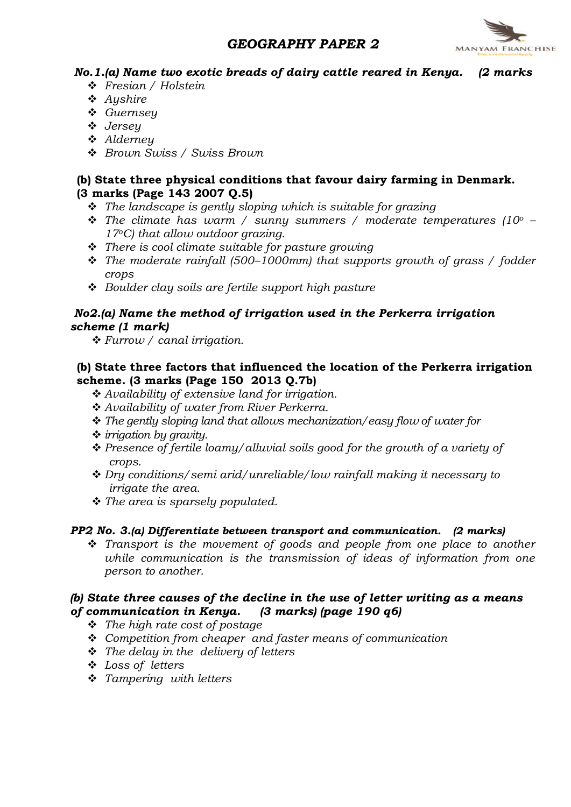## GEOGRAPHY PAPER 2



No.1.(a) Name two exotic breads of dairy cattle reared in Kenya. (2 marks

- v Fresian / Holstein
- $\triangle$  Aushire
- v Guernsey
- v Jersey
- **↓** Alderney
- ❖ Brown Swiss / Swiss Brown

## (b) State three physical conditions that favour dairy farming in Denmark. (3 marks (Page 143 2007 Q.5)

- $\hat{\cdot}$  The landscape is gently sloping which is suitable for grazing
- The climate has warm / sunny summers / moderate temperatures (10<sup>o</sup>  $17^{\circ}$ C) that allow outdoor grazing.
- $\cdot \cdot$  There is cool climate suitable for pasture growing
- $\cdot \cdot$  The moderate rainfall (500–1000mm) that supports growth of grass / fodder crops
- $\div$  Boulder clay soils are fertile support high pasture

## No2.(a) Name the method of irrigation used in the Perkerra irrigation scheme (1 mark)

 $\div$  Furrow / canal irrigation.

## (b) State three factors that influenced the location of the Perkerra irrigation scheme. (3 marks (Page 150 2013 Q.7b)

- $\triangle$  Availability of extensive land for irrigation.
- \* Availability of water from River Perkerra.
- $\cdot$  The gently sloping land that allows mechanization/easy flow of water for
- $\div$  irrigation by gravity.
- $\triangle$  Presence of fertile loamy/alluvial soils good for the growth of a variety of crops.
- $\cdot$  Dry conditions/semi arid/unreliable/low rainfall making it necessary to irrigate the area.
- \* The area is sparsely populated.

## PP2 No. 3.(a) Differentiate between transport and communication. (2 marks)

 $\hat{\mathbf{v}}$  Transport is the movement of goods and people from one place to another while communication is the transmission of ideas of information from one person to another.

### (b) State three causes of the decline in the use of letter writing as a means of communication in Kenya. (3 marks) (page 190 q6)

- $\div$  The high rate cost of postage
- $\div$  Competition from cheaper and faster means of communication
- $\cdot \cdot$  The delay in the delivery of letters
- v Loss of letters
- $\div$  Tampering with letters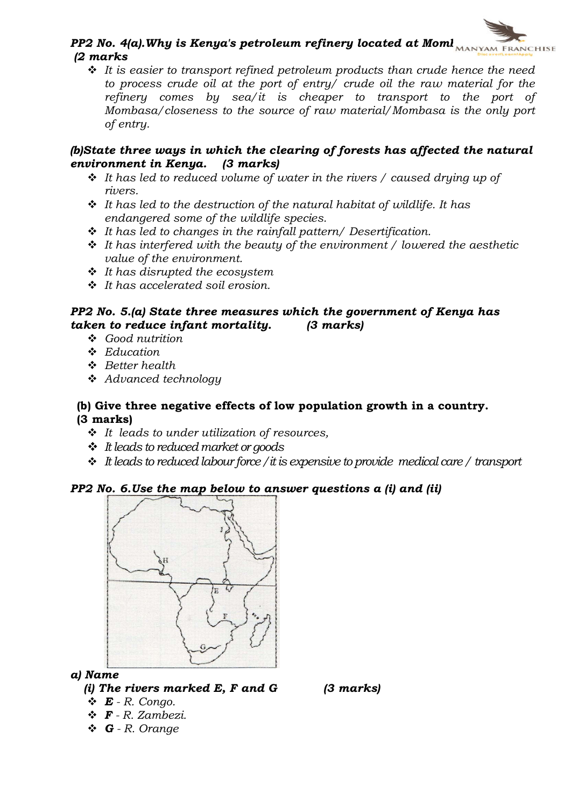## PP2 No. 4(a). Why is Kenya's petroleum refinery located at Moml  $_{MANTYAM FRRNCHISE}$ (2 marks

 $\div$  It is easier to transport refined petroleum products than crude hence the need to process crude oil at the port of entry/ crude oil the raw material for the refinery comes by sea/ $\ddot{i}$  is cheaper to transport to the port of Mombasa/closeness to the source of raw material/Mombasa is the only port of entry.

### (b)State three ways in which the clearing of forests has affected the natural environment in Kenya. (3 marks)

- $\cdot \cdot$  It has led to reduced volume of water in the rivers / caused drying up of rivers.
- $\cdot$  It has led to the destruction of the natural habitat of wildlife. It has endangered some of the wildlife species.
- $\div$  It has led to changes in the rainfall pattern/ Desertification.
- $\div$  It has interfered with the beauty of the environment / lowered the aesthetic value of the environment.
- $\div$  It has disrupted the ecosystem
- $\cdot$  It has accelerated soil erosion.

## PP2 No. 5.(a) State three measures which the government of Kenya has taken to reduce infant mortality.  $\qquad$  (3 marks) taken to reduce infant mortality.

- $\cdot$  Good nutrition
- $\triangle$  Education
- $\div$  Better health
- $\triangleleft$  Advanced technology

### (b) Give three negative effects of low population growth in a country. (3 marks)

- $\cdot \cdot$  It leads to under utilization of resources,
- $\div$  It leads to reduced market or goods
- $\ddot{\cdot}$  It leads to reduced labour force / it is expensive to provide medical care / transport

## PP2 No. 6.Use the map below to answer questions a (i) and (ii)



## a) Name

(i) The rivers marked  $E$ ,  $F$  and  $G$  (3 marks)

- $\mathbf{\hat{E}}$  R. Congo.
- $\mathbf{\hat{F}}$  R. Zambezi.
- $\triangleleft$  **G** R. Orange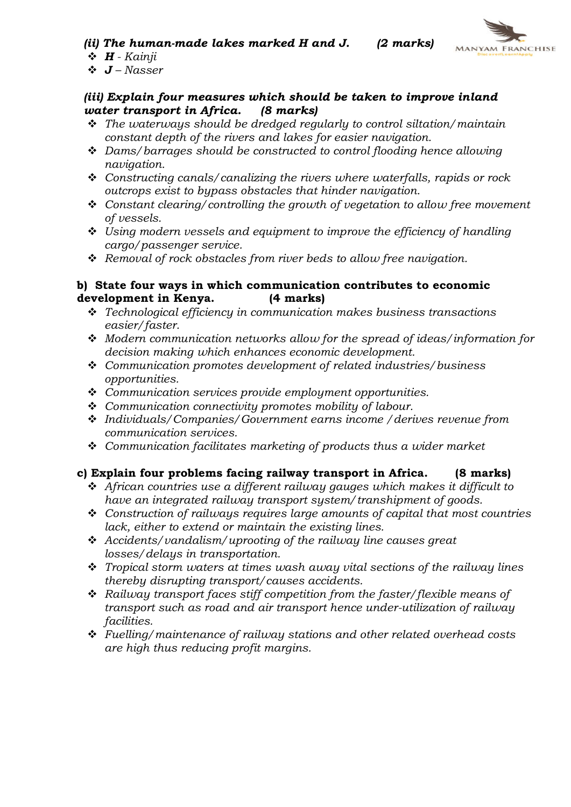(ii) The human-made lakes marked H and J.  $(2 \text{ marks})$ 



 $\triangleleft$  **H** - Kainji

## $\dot{\bullet}$  **J** – Nasser

## (iii) Explain four measures which should be taken to improve inland<br>water transport in Africa. (8 marks) water transport in Africa.

- $\cdot \cdot$  The waterways should be dredged regularly to control siltation/maintain constant depth of the rivers and lakes for easier navigation.
- $\triangleleft$  Dams/barrages should be constructed to control flooding hence allowing navigation.
- $\div$  Constructing canals/canalizing the rivers where waterfalls, rapids or rock outcrops exist to bypass obstacles that hinder navigation.
- $\div$  Constant clearing/controlling the growth of vegetation to allow free movement of vessels.
- $\div$  Using modern vessels and equipment to improve the efficiency of handling cargo/passenger service.
- $\triangleleft$  Removal of rock obstacles from river beds to allow free navigation.

## b) State four ways in which communication contributes to economic development in Kenya. (4 marks)

- $\cdot$  Technological efficiency in communication makes business transactions easier/faster.
- $\cdot$  Modern communication networks allow for the spread of ideas/information for decision making which enhances economic development.
- $\div$  Communication promotes development of related industries/business opportunities.
- $\triangleleft$  Communication services provide employment opportunities.
- $\div$  Communication connectivity promotes mobility of labour.
- v Individuals/Companies/Government earns income /derives revenue from communication services.
- $\triangleq$  Communication facilitates marketing of products thus a wider market

## c) Explain four problems facing railway transport in Africa. (8 marks)

- $\triangle$  African countries use a different railway gauges which makes it difficult to have an integrated railway transport system/transhipment of goods.
- $\triangleleft$  Construction of railways requires large amounts of capital that most countries lack, either to extend or maintain the existing lines.
- $\triangleleft$  Accidents/vandalism/uprooting of the railway line causes great losses/delays in transportation.
- $\hat{v}$  Tropical storm waters at times wash away vital sections of the railway lines thereby disrupting transport/causes accidents.
- $\triangleleft$  Railway transport faces stiff competition from the faster/flexible means of transport such as road and air transport hence under-utilization of railway facilities.
- $\div$  Fuelling/maintenance of railway stations and other related overhead costs are high thus reducing profit margins.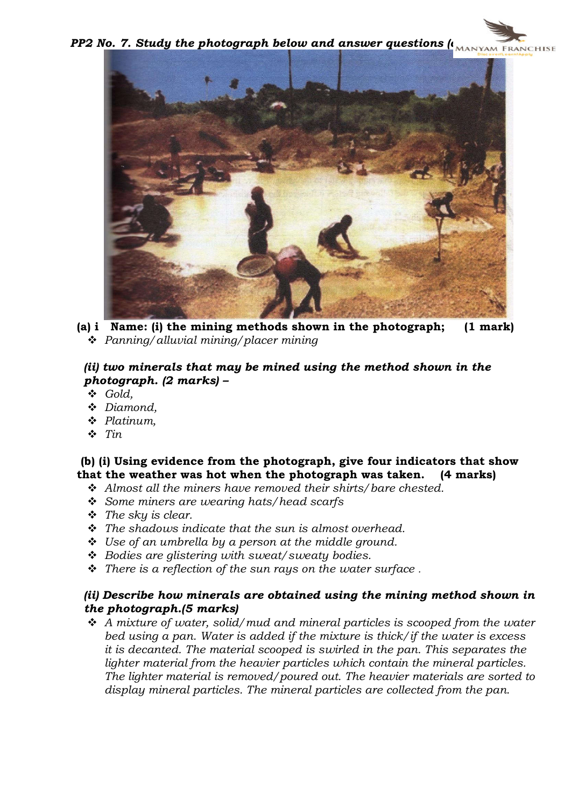PP2 No. 7. Study the photograph below and answer questions  $\mu_{\text{MANYAM FRMCHISE}}$ 



(a) i Name: (i) the mining methods shown in the photograph; (1 mark)  $\triangleq$  Panning/alluvial mining/placer mining

## (ii) two minerals that may be mined using the method shown in the photograph. (2 marks) –

- v Gold,
- ◆ Diamond,
- $\triangleleft$  Platinum,
- $\div$  Tin

(b) (i) Using evidence from the photograph, give four indicators that show that the weather was hot when the photograph was taken. (4 marks)

- $\triangleleft$  Almost all the miners have removed their shirts/bare chested.
- $\div$  Some miners are wearing hats/head scarfs
- $\cdot \cdot$  The sky is clear.
- $\hat{\mathbf{v}}$  The shadows indicate that the sun is almost overhead.
- $\div$  Use of an umbrella by a person at the middle ground.
- $\div$  Bodies are glistering with sweat/sweaty bodies.
- $\hat{\mathbf{v}}$  There is a reflection of the sun rays on the water surface.

### (ii) Describe how minerals are obtained using the mining method shown in the photograph.(5 marks)

 $\div$  A mixture of water, solid/mud and mineral particles is scooped from the water bed using a pan. Water is added if the mixture is thick/if the water is excess it is decanted. The material scooped is swirled in the pan. This separates the lighter material from the heavier particles which contain the mineral particles. The lighter material is removed/poured out. The heavier materials are sorted to display mineral particles. The mineral particles are collected from the pan.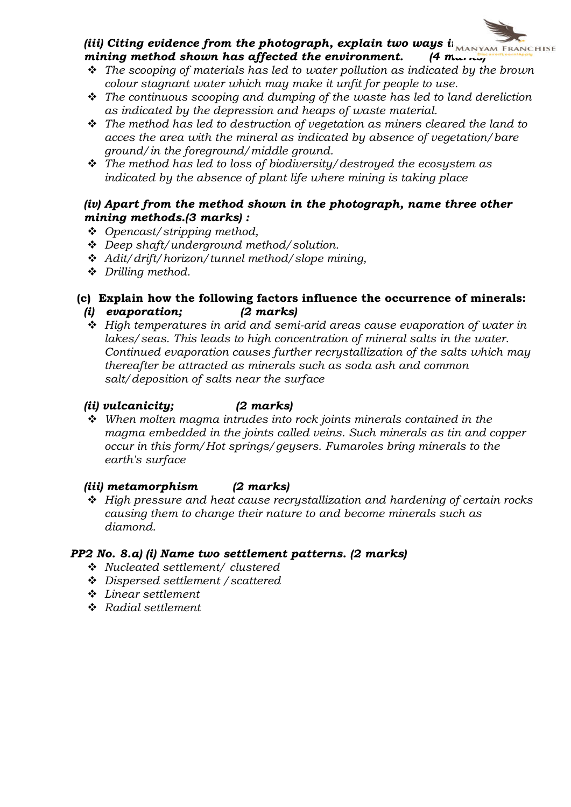## (iii) Citing evidence from the photograph, explain two ways  $i_{\text{MANYAM FRANCHISE}}$ mining method shown has affected the environment. (4 man  $\frac{1}{n}$ )

- $\hat{\mathbf{v}}$  The scooping of materials has led to water pollution as indicated by the brown colour stagnant water which may make it unfit for people to use.
- $\cdot \cdot$  The continuous scooping and dumping of the waste has led to land dereliction as indicated by the depression and heaps of waste material.
- $\cdot \cdot$  The method has led to destruction of vegetation as miners cleared the land to acces the area with the mineral as indicated by absence of vegetation/bare ground/in the foreground/middle ground.
- $\hat{\mathbf{v}}$  The method has led to loss of biodiversity/destroyed the ecosystem as indicated by the absence of plant life where mining is taking place

### (iv) Apart from the method shown in the photograph, name three other mining methods.(3 marks) :

- $\div$  Opencast/stripping method,
- $\triangleleft$  Deep shaft/underground method/solution.
- $\triangleleft$  Adit/drift/horizon/tunnel method/slope mining,
- ◆ Drilling method.

## (c) Explain how the following factors influence the occurrence of minerals:

- (i) evaporation; (2 marks)
- $\div$  High temperatures in arid and semi-arid areas cause evaporation of water in lakes/seas. This leads to high concentration of mineral salts in the water. Continued evaporation causes further recrystallization of the salts which may thereafter be attracted as minerals such as soda ash and common salt/deposition of salts near the surface

## (ii) vulcanicity; (2 marks)

 $\div$  When molten magma intrudes into rock joints minerals contained in the magma embedded in the joints called veins. Such minerals as tin and copper occur in this form/Hot springs/geysers. Fumaroles bring minerals to the earth's surface

## (iii) metamorphism (2 marks)

 $\div$  High pressure and heat cause recrystallization and hardening of certain rocks causing them to change their nature to and become minerals such as diamond.

#### PP2 No. 8.a) (i) Name two settlement patterns. (2 marks)

- v Nucleated settlement/ clustered
- v Dispersed settlement /scattered
- $\ddot{\bullet}$  Linear settlement
- v Radial settlement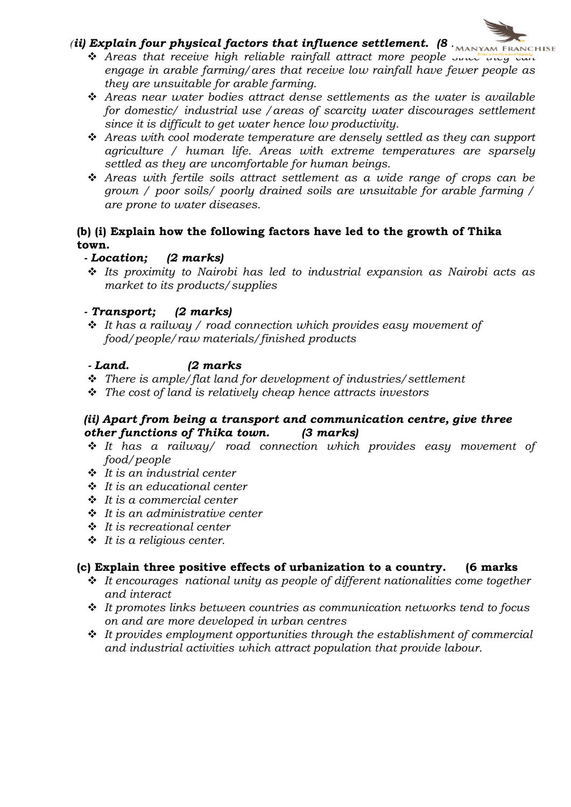# *(ii)* Explain four physical factors that influence settlement. (8 MANYAM FRANCHISE

- $\triangleq$  Areas that receive high reliable rainfall attract more people successive the engage in arable farming/ares that receive low rainfall have fewer people as they are unsuitable for arable farming.
- $\hat{\mathbf{v}}$  Areas near water bodies attract dense settlements as the water is available for domestic/ industrial use /areas of scarcity water discourages settlement since it is difficult to get water hence low productivity.
- $\hat{\cdot}$  Areas with cool moderate temperature are densely settled as they can support agriculture / human life. Areas with extreme temperatures are sparsely settled as they are uncomfortable for human beings.
- \* Areas with fertile soils attract settlement as a wide range of crops can be grown / poor soils/ poorly drained soils are unsuitable for arable farming / are prone to water diseases.

## (b) (i) Explain how the following factors have led to the growth of Thika town.

## - Location; (2 marks)

 $\div$  Its proximity to Nairobi has led to industrial expansion as Nairobi acts as market to its products/supplies

## - Transport; (2 marks)

 $\cdot$  It has a railway / road connection which provides easy movement of food/people/raw materials/finished products

## - Land. (2 marks

- $\cdot \cdot$  There is ample/flat land for development of industries/settlement
- $\hat{\mathbf{v}}$  The cost of land is relatively cheap hence attracts investors

## (ii) Apart from being a transport and communication centre, give three other functions of Thika town. (3 marks)

- $\cdot$  It has a railway/ road connection which provides easy movement of food/people
- $\div$  It is an industrial center
- $\div$  It is an educational center
- $\cdot$  It is a commercial center
- $\div$  It is an administrative center
- $\cdot$  It is recreational center
- $\div$  It is a religious center.

## (c) Explain three positive effects of urbanization to a country. (6 marks

- $\cdot \cdot$  It encourages national unity as people of different nationalities come together and interact
- $\cdot \cdot$  It promotes links between countries as communication networks tend to focus on and are more developed in urban centres
- $\cdot$  It provides emploument opportunities through the establishment of commercial and industrial activities which attract population that provide labour.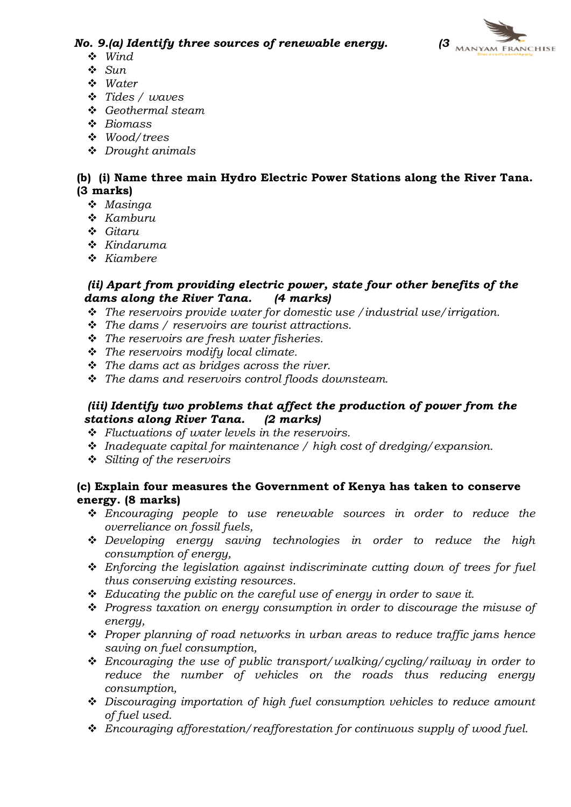

No. 9.(a) Identify three sources of renewable energy.  $\overline{a}$  MANYAM FRANCHISE

- $\div$  Wind
- $\mathbf{\hat{v}}$  Sun
- $\cdot$  Water
- $\div$  Tides / waves
- $\div$  Geothermal steam
- $\div$  Biomass
- v Wood/trees
- $\div$  Drought animals

## (b) (i) Name three main Hydro Electric Power Stations along the River Tana. (3 marks)

- $Masinaa$
- $\triangle$  Kamburu
- v Gitaru
- $\div$  Kindaruma
- $\div$  Kiambere

### (ii) Apart from providing electric power, state four other benefits of the<br>dams along the River Tana. (4 marks) dams along the River Tana.

- $\hat{\mathbf{v}}$  The reservoirs provide water for domestic use / industrial use/irrigation.
- $\cdot \cdot$  The dams / reservoirs are tourist attractions.
- $\cdot \cdot$  The reservoirs are fresh water fisheries.
- $\triangleq$  The reservoirs modify local climate.
- $\cdot \cdot$  The dams act as bridges across the river.
- $\triangleq$  The dams and reservoirs control floods downsteam.

## (iii) Identify two problems that affect the production of power from the stations along River Tana. (2 marks)

- $\div$  Fluctuations of water levels in the reservoirs.
- $\cdot$  Inadequate capital for maintenance / high cost of dredging/expansion.
- $\div$  Silting of the reservoirs

## (c) Explain four measures the Government of Kenya has taken to conserve energy. (8 marks)

- $\div$  Encouraging people to use renewable sources in order to reduce the overreliance on fossil fuels,
- $\triangle$  Developing energy saving technologies in order to reduce the high consumption of energy,
- $\triangle$  Enforcing the legislation against indiscriminate cutting down of trees for fuel thus conserving existing resources.
- $\triangleleft$  Educating the public on the careful use of energy in order to save it.
- $\div$  Progress taxation on energy consumption in order to discourage the misuse of energy,
- $\cdot \cdot$  Proper planning of road networks in urban areas to reduce traffic jams hence saving on fuel consumption,
- $\triangle$  Encouraging the use of public transport/walking/cycling/railway in order to reduce the number of vehicles on the roads thus reducing energy consumption,
- $\div$  Discouraging importation of high fuel consumption vehicles to reduce amount of fuel used.
- $\ddot{\cdot}$  Encouraging afforestation/reafforestation for continuous supply of wood fuel.